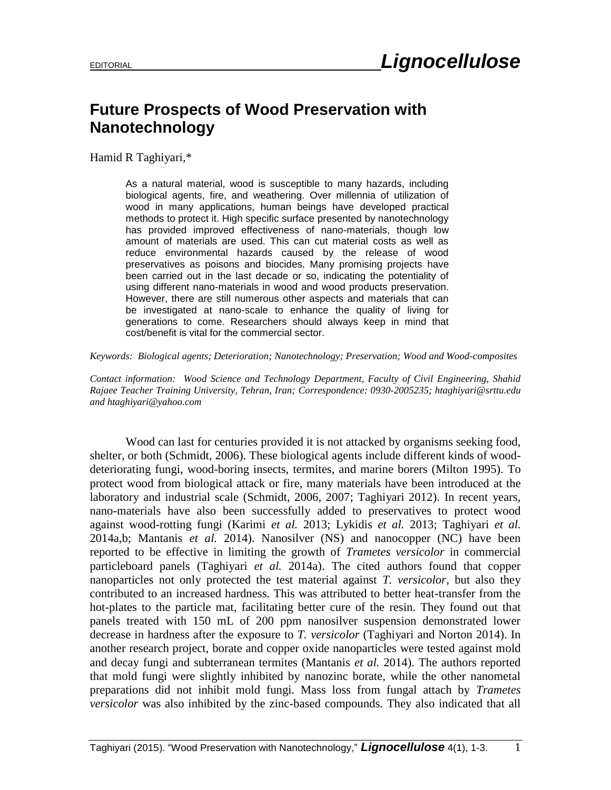## **Future Prospects of Wood Preservation with Nanotechnology**

Hamid R Taghiyari,\*

As a natural material, wood is susceptible to many hazards, including biological agents, fire, and weathering. Over millennia of utilization of wood in many applications, human beings have developed practical methods to protect it. High specific surface presented by nanotechnology has provided improved effectiveness of nano-materials, though low amount of materials are used. This can cut material costs as well as reduce environmental hazards caused by the release of wood preservatives as poisons and biocides. Many promising projects have been carried out in the last decade or so, indicating the potentiality of using different nano-materials in wood and wood products preservation. However, there are still numerous other aspects and materials that can be investigated at nano-scale to enhance the quality of living for generations to come. Researchers should always keep in mind that cost/benefit is vital for the commercial sector.

*Keywords: Biological agents; Deterioration; Nanotechnology; Preservation; Wood and Wood-composites* 

*Contact information: Wood Science and Technology Department, Faculty of Civil Engineering, Shahid Rajaee Teacher Training University, Tehran, Iran; Correspondence: 0930-2005235; [htaghiyari@srttu.edu](mailto:liujb3@ncsu.edu) an[d htaghiyari@yahoo.com](mailto:htaghiyari@yahoo.com)*

Wood can last for centuries provided it is not attacked by organisms seeking food, shelter, or both (Schmidt, 2006). These biological agents include different kinds of wooddeteriorating fungi, wood-boring insects, termites, and marine borers (Milton 1995). To protect wood from biological attack or fire, many materials have been introduced at the laboratory and industrial scale (Schmidt, 2006, 2007; Taghiyari 2012). In recent years, nano-materials have also been successfully added to preservatives to protect wood against wood-rotting fungi (Karimi *et al.* 2013; Lykidis *et al.* 2013; Taghiyari *et al.* 2014a,b; Mantanis *et al.* 2014). Nanosilver (NS) and nanocopper (NC) have been reported to be effective in limiting the growth of *Trametes versicolor* in commercial particleboard panels (Taghiyari *et al.* 2014a). The cited authors found that copper nanoparticles not only protected the test material against *T. versicolor*, but also they contributed to an increased hardness. This was attributed to better heat-transfer from the hot-plates to the particle mat, facilitating better cure of the resin. They found out that panels treated with 150 mL of 200 ppm nanosilver suspension demonstrated lower decrease in hardness after the exposure to *T. versicolor* (Taghiyari and Norton 2014). In another research project, borate and copper oxide nanoparticles were tested against mold and decay fungi and subterranean termites (Mantanis *et al.* 2014). The authors reported that mold fungi were slightly inhibited by nanozinc borate, while the other nanometal preparations did not inhibit mold fungi. Mass loss from fungal attach by *Trametes versicolor* was also inhibited by the zinc-based compounds. They also indicated that all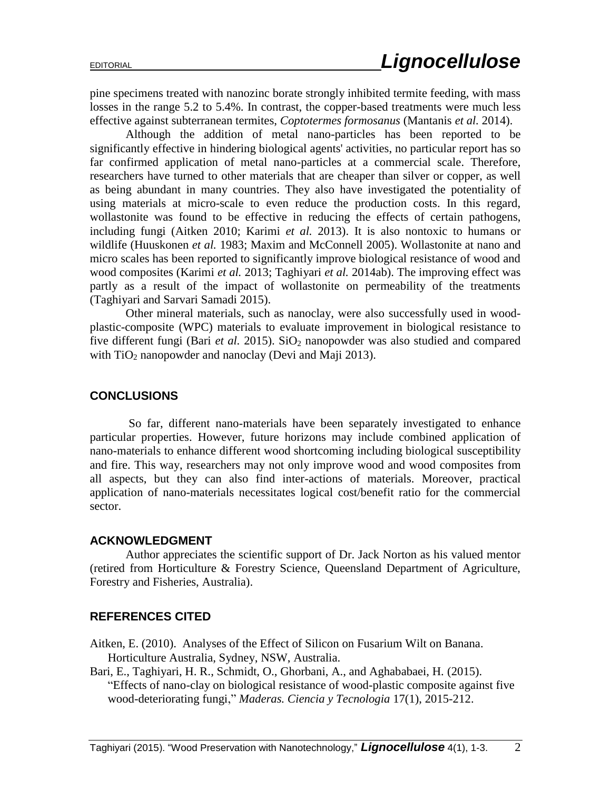pine specimens treated with nanozinc borate strongly inhibited termite feeding, with mass losses in the range 5.2 to 5.4%. In contrast, the copper-based treatments were much less effective against subterranean termites, *Coptotermes formosanus* (Mantanis *et al.* 2014).

Although the addition of metal nano-particles has been reported to be significantly effective in hindering biological agents' activities, no particular report has so far confirmed application of metal nano-particles at a commercial scale. Therefore, researchers have turned to other materials that are cheaper than silver or copper, as well as being abundant in many countries. They also have investigated the potentiality of using materials at micro-scale to even reduce the production costs. In this regard, wollastonite was found to be effective in reducing the effects of certain pathogens, including fungi (Aitken 2010; Karimi *et al.* 2013). It is also nontoxic to humans or wildlife (Huuskonen *et al.* 1983; Maxim and McConnell 2005). Wollastonite at nano and micro scales has been reported to significantly improve biological resistance of wood and wood composites (Karimi *et al.* 2013; Taghiyari *et al.* 2014ab). The improving effect was partly as a result of the impact of wollastonite on permeability of the treatments (Taghiyari and Sarvari Samadi 2015).

Other mineral materials, such as nanoclay, were also successfully used in woodplastic-composite (WPC) materials to evaluate improvement in biological resistance to five different fungi (Bari *et al.* 2015). SiO<sub>2</sub> nanopowder was also studied and compared with  $TiO<sub>2</sub>$  nanopowder and nanoclay (Devi and Maji 2013).

## **CONCLUSIONS**

So far, different nano-materials have been separately investigated to enhance particular properties. However, future horizons may include combined application of nano-materials to enhance different wood shortcoming including biological susceptibility and fire. This way, researchers may not only improve wood and wood composites from all aspects, but they can also find inter-actions of materials. Moreover, practical application of nano-materials necessitates logical cost/benefit ratio for the commercial sector.

## **ACKNOWLEDGMENT**

Author appreciates the scientific support of Dr. Jack Norton as his valued mentor (retired from Horticulture & Forestry Science, Queensland Department of Agriculture, Forestry and Fisheries, Australia).

## **REFERENCES CITED**

Aitken, E. (2010). Analyses of the Effect of Silicon on Fusarium Wilt on Banana. Horticulture Australia, Sydney, NSW, Australia.

Bari, E., Taghiyari, H. R., Schmidt, O., Ghorbani, A., and Aghababaei, H. (2015). "Effects of nano-clay on biological resistance of wood-plastic composite against five wood-deteriorating fungi," *Maderas. Ciencia y Tecnologia* 17(1), 2015-212.